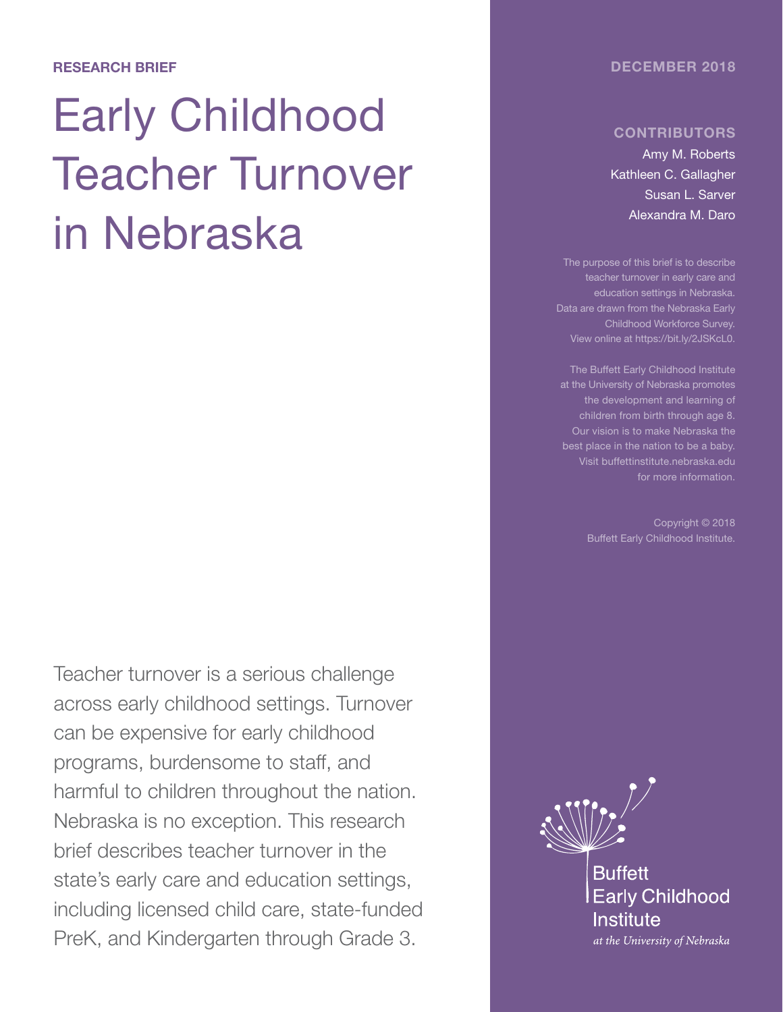#### DECEMBER 2018

#### RESEARCH BRIEF

# Early Childhood Teacher Turnover in Nebraska

Teacher turnover is a serious challenge across early childhood settings. Turnover can be expensive for early childhood programs, burdensome to staff, and harmful to children throughout the nation. Nebraska is no exception. This research brief describes teacher turnover in the state's early care and education settings, including licensed child care, state-funded PreK, and Kindergarten through Grade 3.

#### **CONTRIBUTORS**

Amy M. Roberts Kathleen C. Gallagher Susan L. Sarver Alexandra M. Daro

The purpose of this brief is to describe teacher turnover in early care and education settings in Nebraska. Data are drawn from the Nebraska Early Childhood Workforce Survey. View online at https://bit.ly/2JSKcL0.

at the University of Nebraska promotes the development and learning of children from birth through age 8. Our vision is to make Nebraska the best place in the nation to be a baby. Visit buffettinstitute.nebraska.edu for more information.

> Copyright © 2018 Buffett Early Childhood Institute.

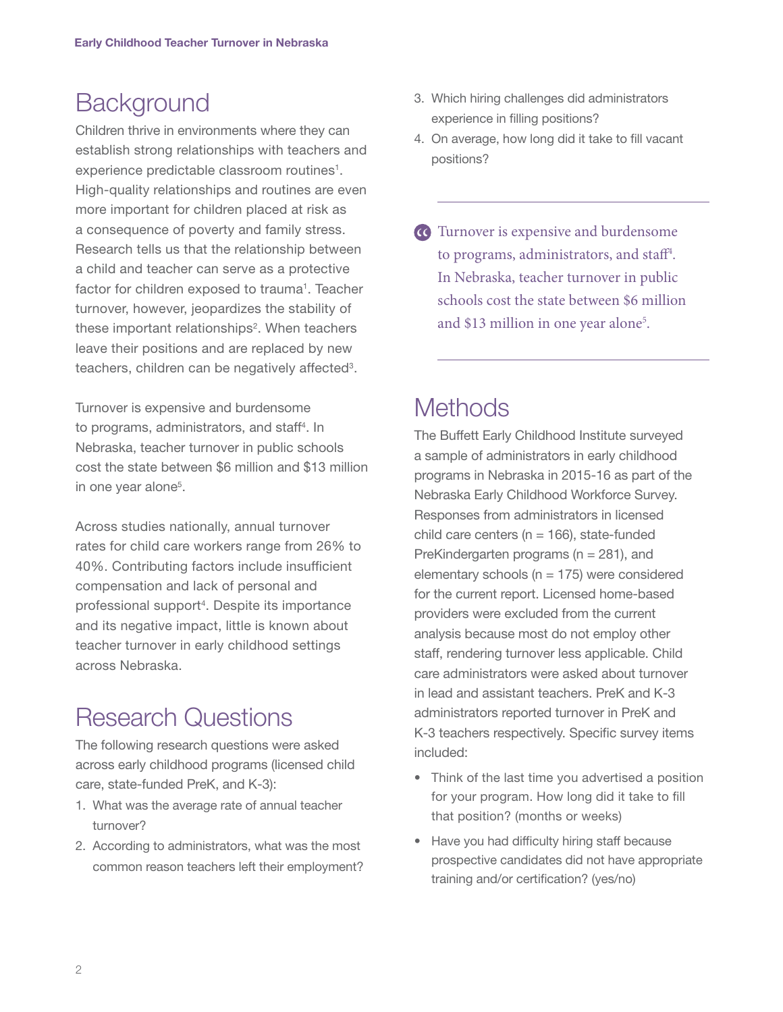# **Background**

Children thrive in environments where they can establish strong relationships with teachers and experience predictable classroom routines<sup>1</sup>. High-quality relationships and routines are even more important for children placed at risk as a consequence of poverty and family stress. Research tells us that the relationship between a child and teacher can serve as a protective factor for children exposed to trauma<sup>1</sup>. Teacher turnover, however, jeopardizes the stability of these important relationships<sup>2</sup>. When teachers leave their positions and are replaced by new teachers, children can be negatively affected<sup>3</sup>.

Turnover is expensive and burdensome to programs, administrators, and staff<sup>4</sup>. In Nebraska, teacher turnover in public schools cost the state between \$6 million and \$13 million in one year alone<sup>5</sup>.

Across studies nationally, annual turnover rates for child care workers range from 26% to 40%. Contributing factors include insufficient compensation and lack of personal and professional support<sup>4</sup>. Despite its importance and its negative impact, little is known about teacher turnover in early childhood settings across Nebraska.

# Research Questions

The following research questions were asked across early childhood programs (licensed child care, state-funded PreK, and K-3):

- 1. What was the average rate of annual teacher turnover?
- 2. According to administrators, what was the most common reason teachers left their employment?
- 3. Which hiring challenges did administrators experience in filling positions?
- 4. On average, how long did it take to fill vacant positions?
- Turnover is expensive and burdensome to programs, administrators, and staff<sup>4</sup>. In Nebraska, teacher turnover in public schools cost the state between \$6 million and \$13 million in one year alone<sup>5</sup>.

# **Methods**

The Buffett Early Childhood Institute surveyed a sample of administrators in early childhood programs in Nebraska in 2015-16 as part of the Nebraska Early Childhood Workforce Survey. Responses from administrators in licensed child care centers ( $n = 166$ ), state-funded PreKindergarten programs (n = 281), and elementary schools ( $n = 175$ ) were considered for the current report. Licensed home-based providers were excluded from the current analysis because most do not employ other staff, rendering turnover less applicable. Child care administrators were asked about turnover in lead and assistant teachers. PreK and K-3 administrators reported turnover in PreK and K-3 teachers respectively. Specific survey items included:

- Think of the last time you advertised a position for your program. How long did it take to fill that position? (months or weeks)
- Have you had difficulty hiring staff because prospective candidates did not have appropriate training and/or certification? (yes/no)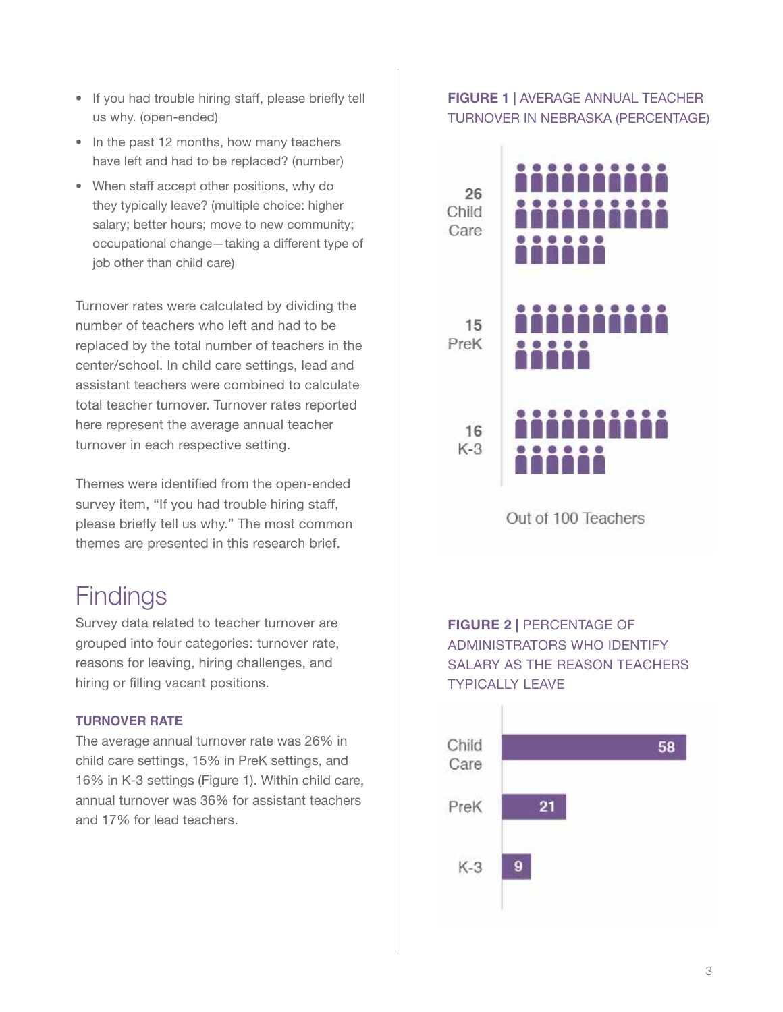- If you had trouble hiring staff, please briefly tell us why. (open-ended)
- In the past 12 months, how many teachers have left and had to be replaced? (number)
- When staff accept other positions, why do they typically leave? (multiple choice: higher salary; better hours; move to new community; occupational change—taking a different type of job other than child care)

Turnover rates were calculated by dividing the number of teachers who left and had to be replaced by the total number of teachers in the center/school. In child care settings, lead and assistant teachers were combined to calculate total teacher turnover. Turnover rates reported here represent the average annual teacher turnover in each respective setting.

Themes were identified from the open-ended survey item, "If you had trouble hiring staff, please briefly tell us why." The most common themes are presented in this research brief.

# **Findings**

Survey data related to teacher turnover are grouped into four categories: turnover rate, reasons for leaving, hiring challenges, and hiring or filling vacant positions.

#### **TURNOVER RATE**

The average annual turnover rate was 26% in child care settings, 15% in PreK settings, and 16% in K-3 settings (Figure 1). Within child care, annual turnover was 36% for assistant teachers and 17% for lead teachers.

#### FIGURE 1 | AVERAGE ANNUAL TEACHER TURNOVER IN NEBRASKA (PERCENTAGE)



Out of 100 Teachers

FIGURE 2 | PERCENTAGE OF ADMINISTRATORS WHO IDENTIFY SALARY AS THE REASON TEACHERS TYPICALLY LEAVE

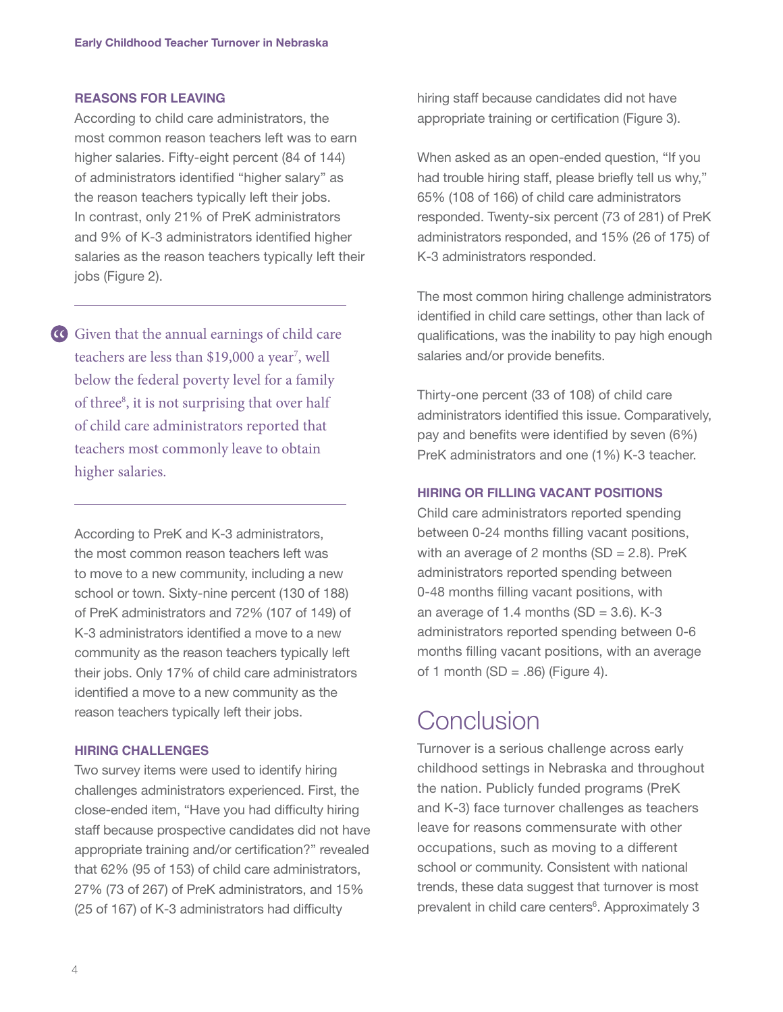#### **REASONS FOR LEAVING**

According to child care administrators, the most common reason teachers left was to earn higher salaries. Fifty-eight percent (84 of 144) of administrators identified "higher salary" as the reason teachers typically left their jobs. In contrast, only 21% of PreK administrators and 9% of K-3 administrators identified higher salaries as the reason teachers typically left their jobs (Figure 2).

Given that the annual earnings of child care teachers are less than \$19,000 a year<sup>7</sup>, well below the federal poverty level for a family of three<sup>8</sup>, it is not surprising that over half of child care administrators reported that teachers most commonly leave to obtain higher salaries.

According to PreK and K-3 administrators, the most common reason teachers left was to move to a new community, including a new school or town. Sixty-nine percent (130 of 188) of PreK administrators and 72% (107 of 149) of K-3 administrators identified a move to a new community as the reason teachers typically left their jobs. Only 17% of child care administrators identified a move to a new community as the reason teachers typically left their jobs.

#### **HIRING CHALLENGES**

Two survey items were used to identify hiring challenges administrators experienced. First, the close-ended item, "Have you had difficulty hiring staff because prospective candidates did not have appropriate training and/or certification?" revealed that 62% (95 of 153) of child care administrators, 27% (73 of 267) of PreK administrators, and 15% (25 of 167) of K-3 administrators had difficulty

hiring staff because candidates did not have appropriate training or certification (Figure 3).

When asked as an open-ended question, "If you had trouble hiring staff, please briefly tell us why," 65% (108 of 166) of child care administrators responded. Twenty-six percent (73 of 281) of PreK administrators responded, and 15% (26 of 175) of K-3 administrators responded.

The most common hiring challenge administrators identified in child care settings, other than lack of qualifications, was the inability to pay high enough salaries and/or provide benefits.

Thirty-one percent (33 of 108) of child care administrators identified this issue. Comparatively, pay and benefits were identified by seven (6%) PreK administrators and one (1%) K-3 teacher.

#### **HIRING OR FILLING VACANT POSITIONS**

Child care administrators reported spending between 0-24 months filling vacant positions, with an average of 2 months  $(SD = 2.8)$ . PreK administrators reported spending between 0-48 months filling vacant positions, with an average of 1.4 months  $(SD = 3.6)$ . K-3 administrators reported spending between 0-6 months filling vacant positions, with an average of 1 month (SD =  $.86$ ) (Figure 4).

### **Conclusion**

Turnover is a serious challenge across early childhood settings in Nebraska and throughout the nation. Publicly funded programs (PreK and K-3) face turnover challenges as teachers leave for reasons commensurate with other occupations, such as moving to a different school or community. Consistent with national trends, these data suggest that turnover is most prevalent in child care centers<sup>6</sup>. Approximately 3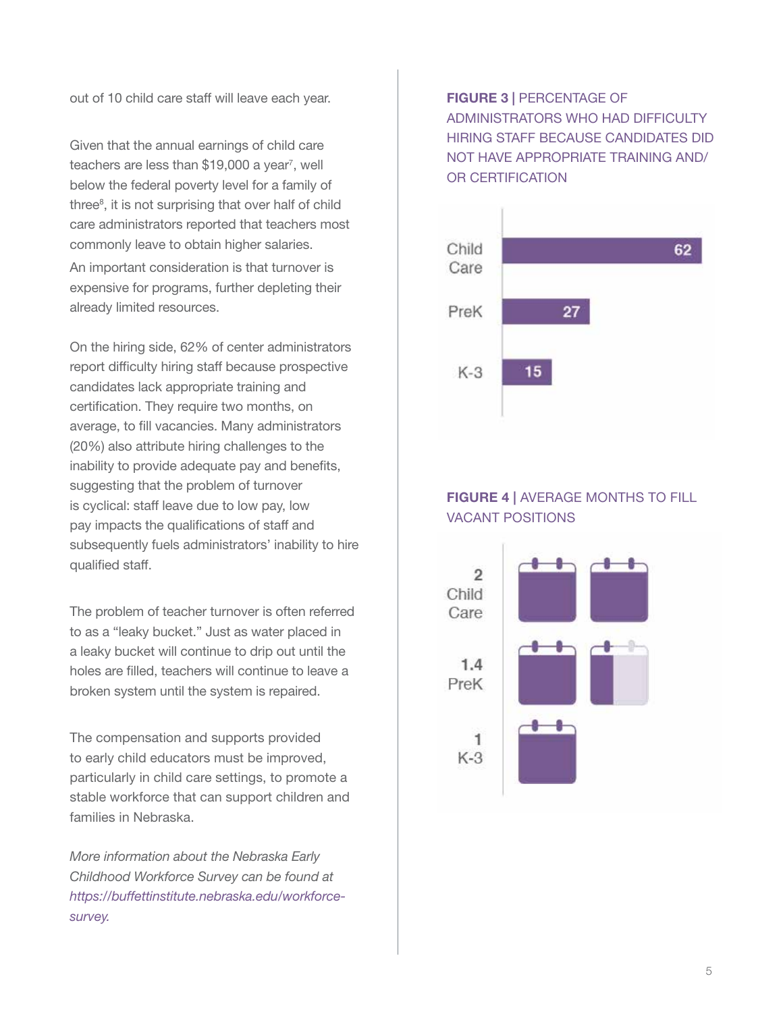out of 10 child care staff will leave each year.

Given that the annual earnings of child care teachers are less than \$19,000 a year<sup>7</sup>, well below the federal poverty level for a family of three<sup>8</sup>, it is not surprising that over half of child care administrators reported that teachers most commonly leave to obtain higher salaries.

An important consideration is that turnover is expensive for programs, further depleting their already limited resources.

On the hiring side, 62% of center administrators report difficulty hiring staff because prospective candidates lack appropriate training and certification. They require two months, on average, to fill vacancies. Many administrators (20%) also attribute hiring challenges to the inability to provide adequate pay and benefits, suggesting that the problem of turnover is cyclical: staff leave due to low pay, low pay impacts the qualifications of staff and subsequently fuels administrators' inability to hire qualified staff.

The problem of teacher turnover is often referred to as a "leaky bucket." Just as water placed in a leaky bucket will continue to drip out until the holes are filled, teachers will continue to leave a broken system until the system is repaired.

The compensation and supports provided to early child educators must be improved, particularly in child care settings, to promote a stable workforce that can support children and families in Nebraska.

*More information about the Nebraska Early Childhood Workforce Survey can be found at https://buffettinstitute.nebraska.edu/workforcesurvey.*

#### FIGURE 3 | PERCENTAGE OF ADMINISTRATORS WHO HAD DIFFICULTY HIRING STAFF BECAUSE CANDIDATES DID NOT HAVE APPROPRIATE TRAINING AND/ OR CERTIFICATION



#### FIGURE 4 | AVERAGE MONTHS TO FILL VACANT POSITIONS